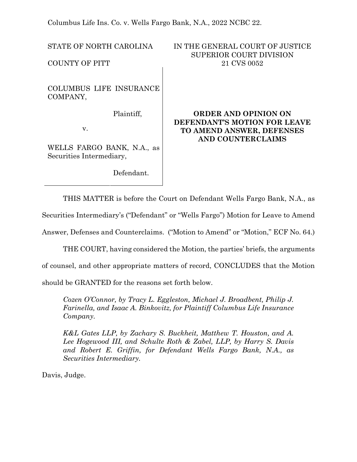Columbus Life Ins. Co. v. Wells Fargo Bank, N.A., 2022 NCBC 22.

COLUMBUS LIFE INSURANCE COMPANY,

Plaintiff,

v.

WELLS FARGO BANK, N.A., as Securities Intermediary,

Defendant.

## STATE OF NORTH CAROLINA IN THE GENERAL COURT OF JUSTICE SUPERIOR COURT DIVISION COUNTY OF PITT 21 CVS 0052

# **ORDER AND OPINION ON DEFENDANT'S MOTION FOR LEAVE TO AMEND ANSWER, DEFENSES AND COUNTERCLAIMS**

THIS MATTER is before the Court on Defendant Wells Fargo Bank, N.A., as

Securities Intermediary's ("Defendant" or "Wells Fargo") Motion for Leave to Amend

Answer, Defenses and Counterclaims. ("Motion to Amend" or "Motion," ECF No. 64.)

THE COURT, having considered the Motion, the parties' briefs, the arguments

of counsel, and other appropriate matters of record, CONCLUDES that the Motion

should be GRANTED for the reasons set forth below.

*Cozen O'Connor, by Tracy L. Eggleston, Michael J. Broadbent, Philip J. Farinella, and Isaac A. Binkovitz, for Plaintiff Columbus Life Insurance Company.*

*K&L Gates LLP, by Zachary S. Buckheit, Matthew T. Houston, and A. Lee Hogewood III, and Schulte Roth & Zabel, LLP, by Harry S. Davis and Robert E. Griffin, for Defendant Wells Fargo Bank, N.A., as Securities Intermediary.*

Davis, Judge.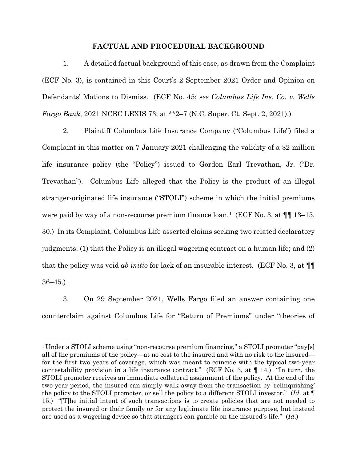#### **FACTUAL AND PROCEDURAL BACKGROUND**

1. A detailed factual background of this case, as drawn from the Complaint (ECF No. 3), is contained in this Court's 2 September 2021 Order and Opinion on Defendants' Motions to Dismiss. (ECF No. 45; s*ee Columbus Life Ins. Co. v. Wells Fargo Bank*, 2021 NCBC LEXIS 73, at \*\*2–7 (N.C. Super. Ct. Sept. 2, 2021).)

2. Plaintiff Columbus Life Insurance Company ("Columbus Life") filed a Complaint in this matter on 7 January 2021 challenging the validity of a \$2 million life insurance policy (the "Policy") issued to Gordon Earl Trevathan, Jr. ("Dr. Trevathan"). Columbus Life alleged that the Policy is the product of an illegal stranger-originated life insurance ("STOLI") scheme in which the initial premiums were paid by way of a non-recourse premium finance loan.<sup>[1](#page-1-0)</sup> (ECF No. 3, at  $\P$  13–15, 30.) In its Complaint, Columbus Life asserted claims seeking two related declaratory judgments: (1) that the Policy is an illegal wagering contract on a human life; and (2) that the policy was void *ab initio* for lack of an insurable interest. (ECF No. 3, at ¶¶ 36–45.)

3. On 29 September 2021, Wells Fargo filed an answer containing one counterclaim against Columbus Life for "Return of Premiums" under "theories of

<span id="page-1-0"></span><sup>&</sup>lt;sup>1</sup> Under a STOLI scheme using "non-recourse premium financing," a STOLI promoter "pay[s] all of the premiums of the policy—at no cost to the insured and with no risk to the insured for the first two years of coverage, which was meant to coincide with the typical two-year contestability provision in a life insurance contract." (ECF No. 3, at  $\P$  14.) "In turn, the STOLI promoter receives an immediate collateral assignment of the policy. At the end of the two-year period, the insured can simply walk away from the transaction by 'relinquishing' the policy to the STOLI promoter, or sell the policy to a different STOLI investor." (*Id*. at ¶ 15.) "[T]he initial intent of such transactions is to create policies that are not needed to protect the insured or their family or for any legitimate life insurance purpose, but instead are used as a wagering device so that strangers can gamble on the insured's life." (*Id*.)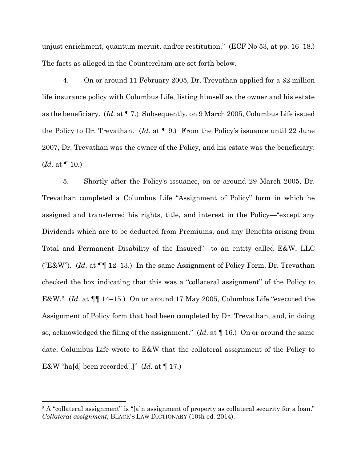unjust enrichment, quantum meruit, and/or restitution." (ECF No 53, at pp. 16–18.) The facts as alleged in the Counterclaim are set forth below.

4. On or around 11 February 2005, Dr. Trevathan applied for a \$2 million life insurance policy with Columbus Life, listing himself as the owner and his estate as the beneficiary. (*Id*. at ¶ 7.) Subsequently, on 9 March 2005, Columbus Life issued the Policy to Dr. Trevathan. (*Id*. at ¶ 9.) From the Policy's issuance until 22 June 2007, Dr. Trevathan was the owner of the Policy, and his estate was the beneficiary. (*Id*. at ¶ 10.)

5. Shortly after the Policy's issuance, on or around 29 March 2005, Dr. Trevathan completed a Columbus Life "Assignment of Policy" form in which he assigned and transferred his rights, title, and interest in the Policy—"except any Dividends which are to be deducted from Premiums, and any Benefits arising from Total and Permanent Disability of the Insured"—to an entity called E&W, LLC ("E&W"). (*Id*. at ¶¶ 12–13.) In the same Assignment of Policy Form, Dr. Trevathan checked the box indicating that this was a "collateral assignment" of the Policy to E&W.[2](#page-2-0) (*Id*. at ¶¶ 14–15.) On or around 17 May 2005, Columbus Life "executed the Assignment of Policy form that had been completed by Dr. Trevathan, and, in doing so, acknowledged the filing of the assignment." (*Id*. at ¶ 16.) On or around the same date, Columbus Life wrote to E&W that the collateral assignment of the Policy to E&W "ha[d] been recorded[.]" (*Id*. at ¶ 17.)

<span id="page-2-0"></span><sup>&</sup>lt;sup>2</sup> A "collateral assignment" is "[a]n assignment of property as collateral security for a loan." *Collateral assignment*, BLACK'S LAW DICTIONARY (10th ed. 2014).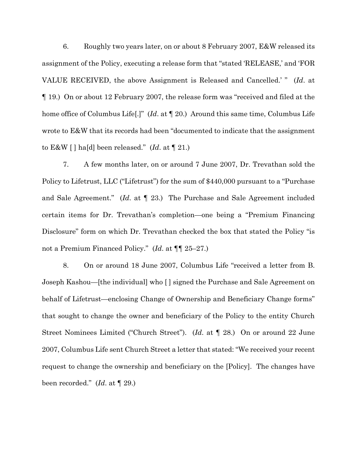6. Roughly two years later, on or about 8 February 2007, E&W released its assignment of the Policy, executing a release form that "stated 'RELEASE,' and 'FOR VALUE RECEIVED, the above Assignment is Released and Cancelled.' " (*Id*. at ¶ 19.) On or about 12 February 2007, the release form was "received and filed at the home office of Columbus Life[.]" (*Id*. at ¶ 20.) Around this same time, Columbus Life wrote to E&W that its records had been "documented to indicate that the assignment to E&W [ ] ha[d] been released." (*Id*. at ¶ 21.)

7. A few months later, on or around 7 June 2007, Dr. Trevathan sold the Policy to Lifetrust, LLC ("Lifetrust") for the sum of \$440,000 pursuant to a "Purchase and Sale Agreement." (*Id*. at ¶ 23.) The Purchase and Sale Agreement included certain items for Dr. Trevathan's completion—one being a "Premium Financing Disclosure" form on which Dr. Trevathan checked the box that stated the Policy "is not a Premium Financed Policy." (*Id*. at ¶¶ 25–27.)

8. On or around 18 June 2007, Columbus Life "received a letter from B. Joseph Kashou—[the individual] who [ ] signed the Purchase and Sale Agreement on behalf of Lifetrust—enclosing Change of Ownership and Beneficiary Change forms" that sought to change the owner and beneficiary of the Policy to the entity Church Street Nominees Limited ("Church Street"). (*Id*. at ¶ 28.) On or around 22 June 2007, Columbus Life sent Church Street a letter that stated: "We received your recent request to change the ownership and beneficiary on the [Policy]. The changes have been recorded." (*Id*. at ¶ 29.)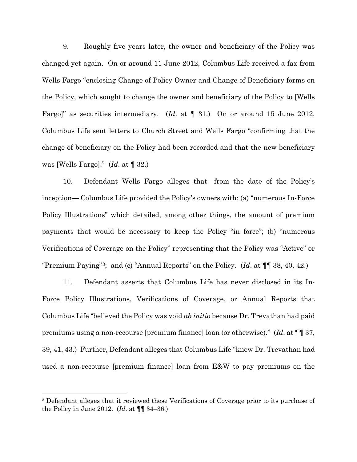9. Roughly five years later, the owner and beneficiary of the Policy was changed yet again. On or around 11 June 2012, Columbus Life received a fax from Wells Fargo "enclosing Change of Policy Owner and Change of Beneficiary forms on the Policy, which sought to change the owner and beneficiary of the Policy to [Wells Fargo]" as securities intermediary. (*Id*. at ¶ 31.) On or around 15 June 2012, Columbus Life sent letters to Church Street and Wells Fargo "confirming that the change of beneficiary on the Policy had been recorded and that the new beneficiary was [Wells Fargo]." (*Id*. at ¶ 32.)

10. Defendant Wells Fargo alleges that—from the date of the Policy's inception— Columbus Life provided the Policy's owners with: (a) "numerous In-Force Policy Illustrations" which detailed, among other things, the amount of premium payments that would be necessary to keep the Policy "in force"; (b) "numerous Verifications of Coverage on the Policy" representing that the Policy was "Active" or "Premium Paying"[3](#page-4-0); and (c) "Annual Reports" on the Policy. (*Id*. at ¶¶ 38, 40, 42.)

11. Defendant asserts that Columbus Life has never disclosed in its In-Force Policy Illustrations, Verifications of Coverage, or Annual Reports that Columbus Life "believed the Policy was void *ab initio* because Dr. Trevathan had paid premiums using a non-recourse [premium finance] loan (or otherwise)." (*Id*. at ¶¶ 37, 39, 41, 43.) Further, Defendant alleges that Columbus Life "knew Dr. Trevathan had used a non-recourse [premium finance] loan from E&W to pay premiums on the

<span id="page-4-0"></span><sup>3</sup> Defendant alleges that it reviewed these Verifications of Coverage prior to its purchase of the Policy in June 2012. (*Id*. at ¶¶ 34–36.)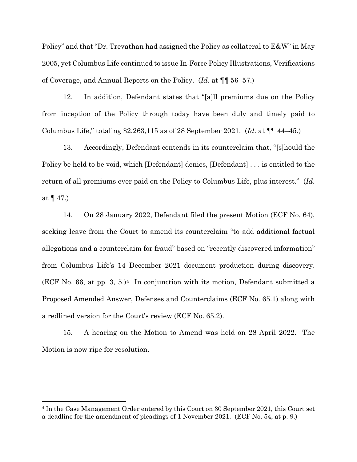Policy" and that "Dr. Trevathan had assigned the Policy as collateral to E&W" in May 2005, yet Columbus Life continued to issue In-Force Policy Illustrations, Verifications of Coverage, and Annual Reports on the Policy. (*Id*. at ¶¶ 56–57.)

12. In addition, Defendant states that "[a]ll premiums due on the Policy from inception of the Policy through today have been duly and timely paid to Columbus Life," totaling \$2,263,115 as of 28 September 2021. (*Id*. at ¶¶ 44–45.)

13. Accordingly, Defendant contends in its counterclaim that, "[s]hould the Policy be held to be void, which [Defendant] denies, [Defendant] . . . is entitled to the return of all premiums ever paid on the Policy to Columbus Life, plus interest." (*Id*. at ¶ 47.)

14. On 28 January 2022, Defendant filed the present Motion (ECF No. 64), seeking leave from the Court to amend its counterclaim "to add additional factual allegations and a counterclaim for fraud" based on "recently discovered information" from Columbus Life's 14 December 2021 document production during discovery. (ECF No. 66, at pp. 3, 5.)<sup>[4](#page-5-0)</sup> In conjunction with its motion, Defendant submitted a Proposed Amended Answer, Defenses and Counterclaims (ECF No. 65.1) along with a redlined version for the Court's review (ECF No. 65.2).

15. A hearing on the Motion to Amend was held on 28 April 2022. The Motion is now ripe for resolution.

<span id="page-5-0"></span><sup>4</sup> In the Case Management Order entered by this Court on 30 September 2021, this Court set a deadline for the amendment of pleadings of 1 November 2021. (ECF No. 54, at p. 9.)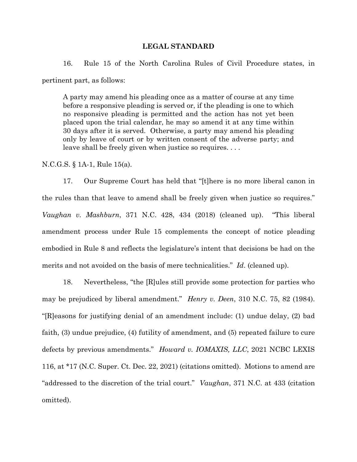#### **LEGAL STANDARD**

16. Rule 15 of the North Carolina Rules of Civil Procedure states, in pertinent part, as follows:

A party may amend his pleading once as a matter of course at any time before a responsive pleading is served or, if the pleading is one to which no responsive pleading is permitted and the action has not yet been placed upon the trial calendar, he may so amend it at any time within 30 days after it is served. Otherwise, a party may amend his pleading only by leave of court or by written consent of the adverse party; and leave shall be freely given when justice so requires. . . .

N.C.G.S. § 1A-1, Rule 15(a).

17. Our Supreme Court has held that "[t]here is no more liberal canon in the rules than that leave to amend shall be freely given when justice so requires." *Vaughan v. Mashburn*, 371 N.C. 428, 434 (2018) (cleaned up). "This liberal amendment process under Rule 15 complements the concept of notice pleading embodied in Rule 8 and reflects the legislature's intent that decisions be had on the merits and not avoided on the basis of mere technicalities." *Id*. (cleaned up).

18. Nevertheless, "the [R]ules still provide some protection for parties who may be prejudiced by liberal amendment." *Henry v. Deen*, 310 N.C. 75, 82 (1984). "[R]easons for justifying denial of an amendment include: (1) undue delay, (2) bad faith, (3) undue prejudice, (4) futility of amendment, and (5) repeated failure to cure defects by previous amendments." *Howard v. IOMAXIS, LLC*, 2021 NCBC LEXIS 116, at \*17 (N.C. Super. Ct. Dec. 22, 2021) (citations omitted). Motions to amend are "addressed to the discretion of the trial court." *Vaughan*, 371 N.C. at 433 (citation omitted).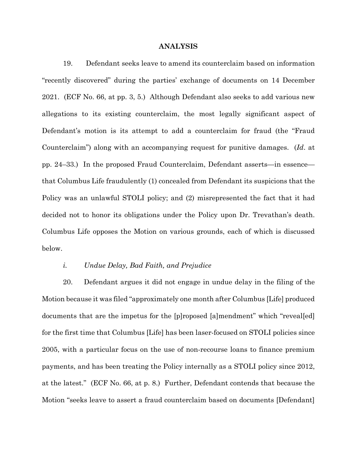#### **ANALYSIS**

19. Defendant seeks leave to amend its counterclaim based on information "recently discovered" during the parties' exchange of documents on 14 December 2021. (ECF No. 66, at pp. 3, 5.) Although Defendant also seeks to add various new allegations to its existing counterclaim, the most legally significant aspect of Defendant's motion is its attempt to add a counterclaim for fraud (the "Fraud Counterclaim") along with an accompanying request for punitive damages. (*Id*. at pp. 24–33.) In the proposed Fraud Counterclaim, Defendant asserts—in essence that Columbus Life fraudulently (1) concealed from Defendant its suspicions that the Policy was an unlawful STOLI policy; and (2) misrepresented the fact that it had decided not to honor its obligations under the Policy upon Dr. Trevathan's death. Columbus Life opposes the Motion on various grounds, each of which is discussed below.

### *i. Undue Delay, Bad Faith, and Prejudice*

20. Defendant argues it did not engage in undue delay in the filing of the Motion because it was filed "approximately one month after Columbus [Life] produced documents that are the impetus for the [p]roposed [a]mendment" which "reveal[ed] for the first time that Columbus [Life] has been laser-focused on STOLI policies since 2005, with a particular focus on the use of non-recourse loans to finance premium payments, and has been treating the Policy internally as a STOLI policy since 2012, at the latest." (ECF No. 66, at p. 8.) Further, Defendant contends that because the Motion "seeks leave to assert a fraud counterclaim based on documents [Defendant]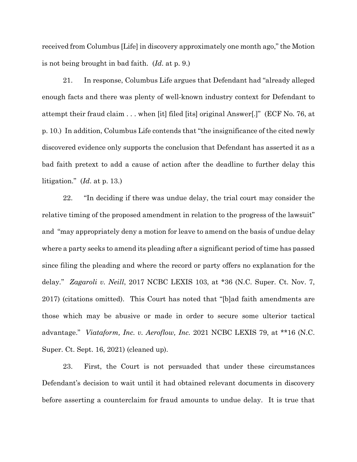received from Columbus [Life] in discovery approximately one month ago," the Motion is not being brought in bad faith. (*Id*. at p. 9.)

21. In response, Columbus Life argues that Defendant had "already alleged enough facts and there was plenty of well-known industry context for Defendant to attempt their fraud claim . . . when [it] filed [its] original Answer[.]" (ECF No. 76, at p. 10.) In addition, Columbus Life contends that "the insignificance of the cited newly discovered evidence only supports the conclusion that Defendant has asserted it as a bad faith pretext to add a cause of action after the deadline to further delay this litigation." (*Id*. at p. 13.)

22. "In deciding if there was undue delay, the trial court may consider the relative timing of the proposed amendment in relation to the progress of the lawsuit" and "may appropriately deny a motion for leave to amend on the basis of undue delay where a party seeks to amend its pleading after a significant period of time has passed since filing the pleading and where the record or party offers no explanation for the delay*.*" *Zagaroli v. Neill*, 2017 NCBC LEXIS 103, at \*36 (N.C. Super. Ct. Nov. 7, 2017) (citations omitted). This Court has noted that "[b]ad faith amendments are those which may be abusive or made in order to secure some ulterior tactical advantage." *Viataform, Inc. v. Aeroflow, Inc.* 2021 NCBC LEXIS 79, at \*\*16 (N.C. Super. Ct. Sept. 16, 2021) (cleaned up).

23. First, the Court is not persuaded that under these circumstances Defendant's decision to wait until it had obtained relevant documents in discovery before asserting a counterclaim for fraud amounts to undue delay. It is true that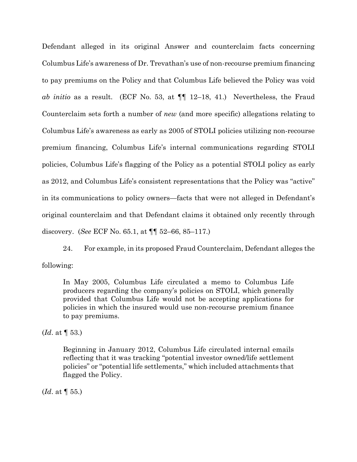Defendant alleged in its original Answer and counterclaim facts concerning Columbus Life's awareness of Dr. Trevathan's use of non-recourse premium financing to pay premiums on the Policy and that Columbus Life believed the Policy was void *ab initio* as a result. (ECF No. 53, at ¶¶ 12–18, 41.) Nevertheless, the Fraud Counterclaim sets forth a number of *new* (and more specific) allegations relating to Columbus Life's awareness as early as 2005 of STOLI policies utilizing non-recourse premium financing, Columbus Life's internal communications regarding STOLI policies, Columbus Life's flagging of the Policy as a potential STOLI policy as early as 2012, and Columbus Life's consistent representations that the Policy was "active" in its communications to policy owners—facts that were not alleged in Defendant's original counterclaim and that Defendant claims it obtained only recently through discovery. (*See* ECF No. 65.1, at ¶¶ 52–66, 85–117.)

24. For example, in its proposed Fraud Counterclaim, Defendant alleges the following:

In May 2005, Columbus Life circulated a memo to Columbus Life producers regarding the company's policies on STOLI, which generally provided that Columbus Life would not be accepting applications for policies in which the insured would use non-recourse premium finance to pay premiums.

(*Id*. at ¶ 53.)

Beginning in January 2012, Columbus Life circulated internal emails reflecting that it was tracking "potential investor owned/life settlement policies" or "potential life settlements," which included attachments that flagged the Policy.

(*Id*. at ¶ 55.)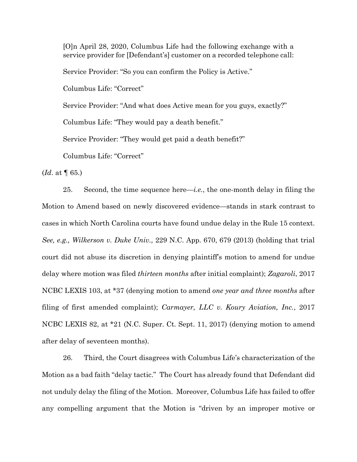[O]n April 28, 2020, Columbus Life had the following exchange with a service provider for [Defendant's] customer on a recorded telephone call:

Service Provider: "So you can confirm the Policy is Active."

Columbus Life: "Correct"

Service Provider: "And what does Active mean for you guys, exactly?"

Columbus Life: "They would pay a death benefit."

Service Provider: "They would get paid a death benefit?"

Columbus Life: "Correct"

(*Id*. at ¶ 65.)

25. Second, the time sequence here—*i.e.*, the one-month delay in filing the Motion to Amend based on newly discovered evidence—stands in stark contrast to cases in which North Carolina courts have found undue delay in the Rule 15 context. *See, e.g., Wilkerson v. Duke Univ.,* 229 N.C. App. 670, 679 (2013) (holding that trial court did not abuse its discretion in denying plaintiff's motion to amend for undue delay where motion was filed *thirteen months* after initial complaint); *Zagaroli*, 2017 NCBC LEXIS 103, at \*37 (denying motion to amend *one year and three months* after filing of first amended complaint); *Carmayer, LLC v. Koury Aviation, Inc.*, 2017 NCBC LEXIS 82, at \*21 (N.C. Super. Ct. Sept. 11, 2017) (denying motion to amend after delay of seventeen months).

26. Third, the Court disagrees with Columbus Life's characterization of the Motion as a bad faith "delay tactic." The Court has already found that Defendant did not unduly delay the filing of the Motion. Moreover, Columbus Life has failed to offer any compelling argument that the Motion is "driven by an improper motive or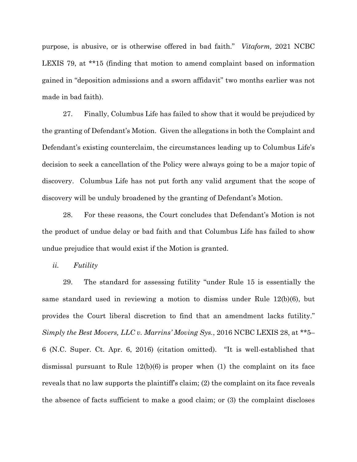purpose, is abusive, or is otherwise offered in bad faith." *Vitaform,* 2021 NCBC LEXIS 79, at \*\*15 (finding that motion to amend complaint based on information gained in "deposition admissions and a sworn affidavit" two months earlier was not made in bad faith).

27. Finally, Columbus Life has failed to show that it would be prejudiced by the granting of Defendant's Motion. Given the allegations in both the Complaint and Defendant's existing counterclaim, the circumstances leading up to Columbus Life's decision to seek a cancellation of the Policy were always going to be a major topic of discovery. Columbus Life has not put forth any valid argument that the scope of discovery will be unduly broadened by the granting of Defendant's Motion.

28. For these reasons, the Court concludes that Defendant's Motion is not the product of undue delay or bad faith and that Columbus Life has failed to show undue prejudice that would exist if the Motion is granted.

*ii. Futility* 

29. The standard for assessing futility "under Rule 15 is essentially the same standard used in reviewing a motion to dismiss under Rule 12(b)(6), but provides the Court liberal discretion to find that an amendment lacks futility." *Simply the Best Movers, LLC v. Marrins' Moving Sys.*, 2016 NCBC LEXIS 28, at \*\*5– 6 (N.C. Super. Ct. Apr. 6, 2016) (citation omitted). "It is well-established that dismissal pursuant to Rule 12(b)(6) is proper when (1) the complaint on its face reveals that no law supports the plaintiff's claim; (2) the complaint on its face reveals the absence of facts sufficient to make a good claim; or (3) the complaint discloses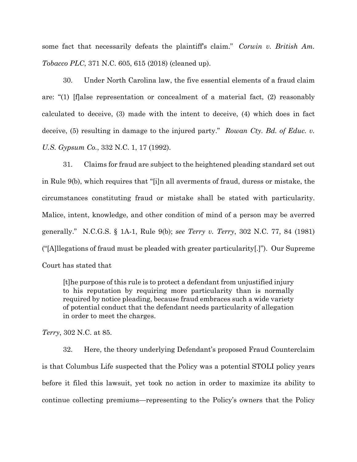some fact that necessarily defeats the plaintiff's claim." *Corwin v. British Am. Tobacco PLC*, 371 N.C. 605, 615 (2018) (cleaned up).

30. Under North Carolina law, the five essential elements of a fraud claim are: "(1) [f]alse representation or concealment of a material fact, (2) reasonably calculated to deceive, (3) made with the intent to deceive, (4) which does in fact deceive, (5) resulting in damage to the injured party." *Rowan Cty. Bd. of Educ. v. U.S. Gypsum Co.*, 332 N.C. 1, 17 (1992).

31. Claims for fraud are subject to the heightened pleading standard set out in Rule 9(b), which requires that "[i]n all averments of fraud, duress or mistake, the circumstances constituting fraud or mistake shall be stated with particularity. Malice, intent, knowledge, and other condition of mind of a person may be averred generally." N.C.G.S. § 1A-1, Rule 9(b); *see Terry v. Terry*, 302 N.C. 77, 84 (1981) ("[A]llegations of fraud must be pleaded with greater particularity[.]"). Our Supreme Court has stated that

[t]he purpose of this rule is to protect a defendant from unjustified injury to his reputation by requiring more particularity than is normally required by notice pleading, because fraud embraces such a wide variety of potential conduct that the defendant needs particularity of allegation in order to meet the charges.

*Terry*, 302 N.C. at 85.

32. Here, the theory underlying Defendant's proposed Fraud Counterclaim is that Columbus Life suspected that the Policy was a potential STOLI policy years before it filed this lawsuit, yet took no action in order to maximize its ability to continue collecting premiums—representing to the Policy's owners that the Policy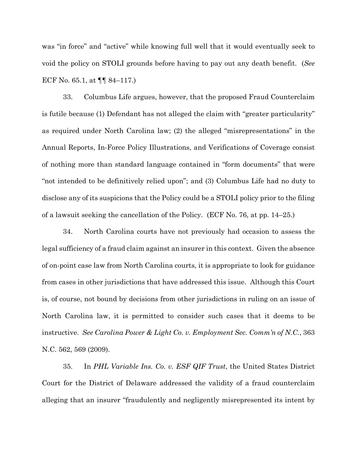was "in force" and "active" while knowing full well that it would eventually seek to void the policy on STOLI grounds before having to pay out any death benefit. (*See*  ECF No. 65.1, at ¶¶ 84–117.)

33. Columbus Life argues, however, that the proposed Fraud Counterclaim is futile because (1) Defendant has not alleged the claim with "greater particularity" as required under North Carolina law; (2) the alleged "misrepresentations" in the Annual Reports, In-Force Policy Illustrations, and Verifications of Coverage consist of nothing more than standard language contained in "form documents" that were "not intended to be definitively relied upon"; and (3) Columbus Life had no duty to disclose any of its suspicions that the Policy could be a STOLI policy prior to the filing of a lawsuit seeking the cancellation of the Policy. (ECF No. 76, at pp. 14–25.)

34. North Carolina courts have not previously had occasion to assess the legal sufficiency of a fraud claim against an insurer in this context. Given the absence of on-point case law from North Carolina courts, it is appropriate to look for guidance from cases in other jurisdictions that have addressed this issue. Although this Court is, of course, not bound by decisions from other jurisdictions in ruling on an issue of North Carolina law, it is permitted to consider such cases that it deems to be instructive. *See Carolina Power & Light Co. v. Employment Sec. Comm'n of N.C.*, 363 N.C. 562, 569 (2009).

35. In *PHL Variable Ins. Co. v. ESF QIF Trust*, the United States District Court for the District of Delaware addressed the validity of a fraud counterclaim alleging that an insurer "fraudulently and negligently misrepresented its intent by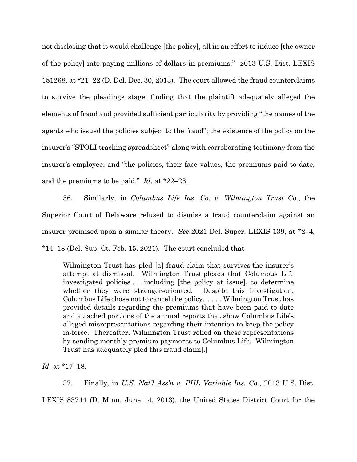not disclosing that it would challenge [the policy], all in an effort to induce [the owner of the policy] into paying millions of dollars in premiums." 2013 U.S. Dist. LEXIS 181268, at \*21–22 (D. Del. Dec. 30, 2013). The court allowed the fraud counterclaims to survive the pleadings stage, finding that the plaintiff adequately alleged the elements of fraud and provided sufficient particularity by providing "the names of the agents who issued the policies subject to the fraud"; the existence of the policy on the insurer's "STOLI tracking spreadsheet" along with corroborating testimony from the insurer's employee; and "the policies, their face values, the premiums paid to date, and the premiums to be paid." *Id*. at \*22–23.

36. Similarly, in *Columbus Life Ins. Co. v. Wilmington Trust Co.*, the Superior Court of Delaware refused to dismiss a fraud counterclaim against an insurer premised upon a similar theory. *See* 2021 Del. Super. LEXIS 139, at \*2–4, \*14–18 (Del. Sup. Ct. Feb. 15, 2021). The court concluded that

Wilmington Trust has pled [a] fraud claim that survives the insurer's attempt at dismissal. Wilmington Trust pleads that Columbus Life investigated policies . . . including [the policy at issue], to determine whether they were stranger-oriented. Despite this investigation, Columbus Life chose not to cancel the policy. . . . . Wilmington Trust has provided details regarding the premiums that have been paid to date and attached portions of the annual reports that show Columbus Life's alleged misrepresentations regarding their intention to keep the policy in-force. Thereafter, Wilmington Trust relied on these representations by sending monthly premium payments to Columbus Life. Wilmington Trust has adequately pled this fraud claim[.]

*Id*. at \*17–18.

37. Finally, in *U.S. Nat'l Ass'n v. PHL Variable Ins. Co.*, 2013 U.S. Dist. LEXIS 83744 (D. Minn. June 14, 2013), the United States District Court for the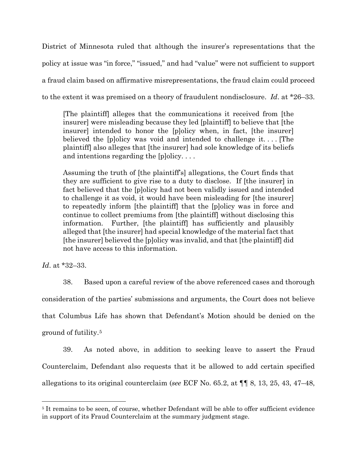District of Minnesota ruled that although the insurer's representations that the policy at issue was "in force," "issued," and had "value" were not sufficient to support a fraud claim based on affirmative misrepresentations, the fraud claim could proceed to the extent it was premised on a theory of fraudulent nondisclosure. *Id*. at \*26–33.

[The plaintiff] alleges that the communications it received from [the insurer] were misleading because they led [plaintiff] to believe that [the insurer] intended to honor the [p]olicy when, in fact, [the insurer] believed the [p]olicy was void and intended to challenge it. . . . [The plaintiff] also alleges that [the insurer] had sole knowledge of its beliefs and intentions regarding the [p]olicy. . . .

Assuming the truth of [the plaintiff's] allegations, the Court finds that they are sufficient to give rise to a duty to disclose. If [the insurer] in fact believed that the [p]olicy had not been validly issued and intended to challenge it as void, it would have been misleading for [the insurer] to repeatedly inform [the plaintiff] that the [p]olicy was in force and continue to collect premiums from [the plaintiff] without disclosing this information. Further, [the plaintiff] has sufficiently and plausibly alleged that [the insurer] had special knowledge of the material fact that [the insurer] believed the [p]olicy was invalid, and that [the plaintiff] did not have access to this information.

*Id*. at \*32–33.

38. Based upon a careful review of the above referenced cases and thorough consideration of the parties' submissions and arguments, the Court does not believe that Columbus Life has shown that Defendant's Motion should be denied on the ground of futility.[5](#page-15-0)

39. As noted above, in addition to seeking leave to assert the Fraud Counterclaim, Defendant also requests that it be allowed to add certain specified allegations to its original counterclaim (*see* ECF No. 65.2, at ¶¶ 8, 13, 25, 43, 47–48,

<span id="page-15-0"></span><sup>5</sup> It remains to be seen, of course, whether Defendant will be able to offer sufficient evidence in support of its Fraud Counterclaim at the summary judgment stage.